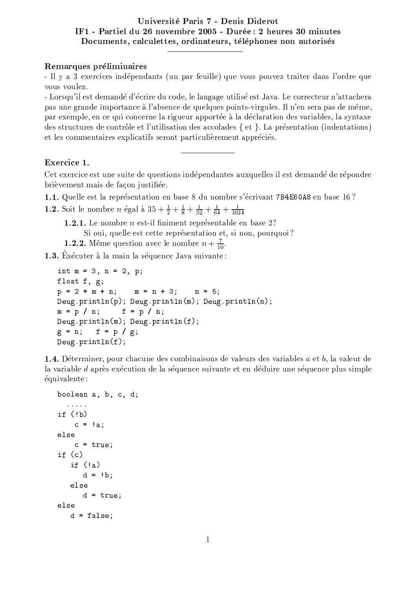## Université Paris 7 - Denis Diderot IF1 - Partiel du 26 novembre 2005 - Durée : 2 heures 30 minutes Documents, calculettes, ordinateurs, téléphones non autorisés

#### Remarques préliminaires

- Il y a 3 exercices indépendants (un par feuille) que vous pouvez traiter dans l'ordre que vous voulez.

- Lorsqu'il est demandé d'écrire du code, le langage utilisé est Java. Le correcteur n'attachera pas une grande importance à l'absence de quelques points-virgules. Il n'en sera pas de même, par exemple, en ce qui concerne la rigueur apportée à la déclaration des variables, la syntaxe des structures de contrôle et l'utilisation des accolades { et }. La présentation (indentations) et les commentaires explicatifs seront particulièrement appréciés.

### Exercice 1.

Cet exercice est une suite de questions indépendantes auxquelles il est demandé de répondre brièvement mais de façon justifiée.

1.1. Quelle est la représentation en base 8 du nombre s'écrivant 7B4E60A8 en base 16?

**1.2.** Soit le nombre *n* égal à  $35 + \frac{1}{2} + \frac{1}{8} + \frac{1}{32} + \frac{1}{64} + \frac{1}{1024}$ 

**1.2.1.** Le nombre  $n$  est-il finiment représentable en base 2? Si oui, quelle est cette représentation et, si non, pourquoi? **1.2.2.** Même question avec le nombre  $n + \frac{7}{10}$ .

1.3. Exécuter à la main la séquence Java suivante :

```
int m = 3, n = 2, p;
float f, g;p = 2 * m + n;
               m = n + 3; n = 5;
Deug.println(p); Deug.println(m); Deug.println(n);
            f = p / n;m = p / n;Deug.println(m); Deug.println(f);g = n;f = p / g;Deug.println(f);
```
**1.4.** Déterminer, pour chacune des combinaisons de valeurs des variables  $a$  et  $b$ , la valeur de la variable *d* après exécution de la séquence suivante et en déduire une séquence plus simple équivalente:

```
boolean a, b, c, d;
  \alpha , \alpha , \alpha , \alphaif (!b)c = !a;else
    c = true;if (c)if (!a)d = !b;else
       d = true;else
   d = false;
```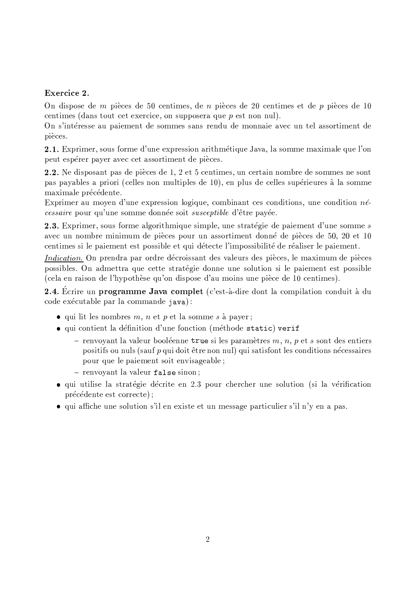# Exercice 2.

On dispose de  $m$  pièces de 50 centimes, de  $n$  pièces de 20 centimes et de  $p$  pièces de 10 centimes (dans tout cet exercice, on supposers que  $p$  est non nul).

On s'intéresse au paiement de sommes sans rendu de monnaie avec un tel assortiment de pièces.

2.1. Exprimer, sous forme d'une expression arithmétique Java, la somme maximale que l'on peut espérer payer avec cet assortiment de pièces.

2.2. Ne disposant pas de pièces de 1, 2 et 5 centimes, un certain nombre de sommes ne sont pas payables a priori (celles non multiples de 10), en plus de celles supérieures à la somme maximale précédente.

Exprimer au moven d'une expression logique, combinant ces conditions, une condition  $n\acute{e}$ cessaire pour qu'une somme donnée soit susceptible d'être payée.

2.3. Exprimer, sous forme algorithmique simple, une stratégie de paiement d'une somme s avec un nombre minimum de pièces pour un assortiment donné de pièces de 50, 20 et 10 centimes si le paiement est possible et qui détecte l'impossibilité de réaliser le paiement.

*Indication*. On prendra par ordre décroissant des valeurs des pièces, le maximum de pièces possibles. On admettra que cette stratégie donne une solution si le paiement est possible (cela en raison de l'hypothèse qu'on dispose d'au moins une pièce de 10 centimes).

2.4. Ecrire un programme Java complet (c'est-à-dire dont la compilation conduit à du code exécutable par la commande java):

- qui lit les nombres  $m, n$  et  $p$  et la somme  $s$  à payer;
- qui contient la définition d'une fonction (méthode static) verif
	- renvoyant la valeur booléenne true si les paramètres  $m, n, p$  et s sont des entiers positifs ou nuls (sauf p qui doit être non nul) qui satisfont les conditions nécessaires pour que le paiement soit envisageable;
	- renvoyant la valeur false sinon;
- $\bullet$  qui utilise la stratégie décrite en 2.3 pour chercher une solution (si la vérification précédente est correcte);
- qui affiche une solution s'il en existe et un message particulier s'il n'y en a pas.